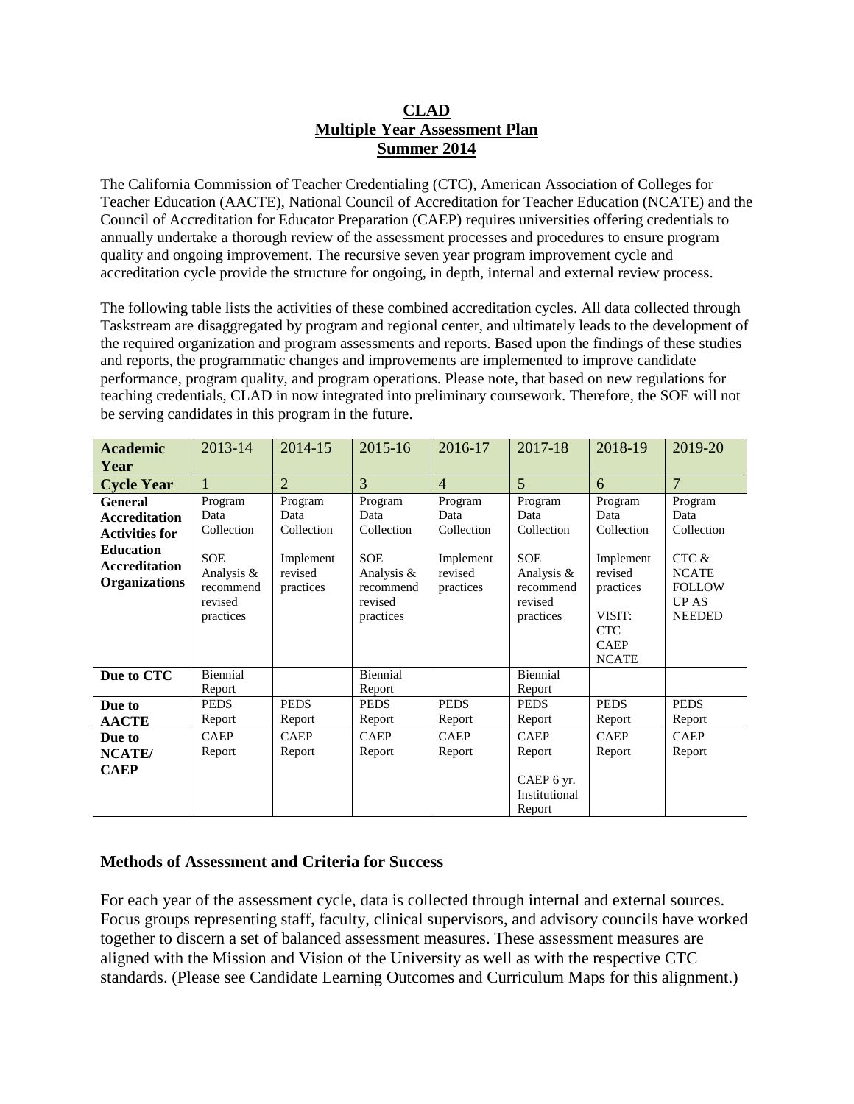#### **CLAD Multiple Year Assessment Plan Summer 2014**

The California Commission of Teacher Credentialing (CTC), American Association of Colleges for Teacher Education (AACTE), National Council of Accreditation for Teacher Education (NCATE) and the Council of Accreditation for Educator Preparation (CAEP) requires universities offering credentials to annually undertake a thorough review of the assessment processes and procedures to ensure program quality and ongoing improvement. The recursive seven year program improvement cycle and accreditation cycle provide the structure for ongoing, in depth, internal and external review process.

The following table lists the activities of these combined accreditation cycles. All data collected through Taskstream are disaggregated by program and regional center, and ultimately leads to the development of the required organization and program assessments and reports. Based upon the findings of these studies and reports, the programmatic changes and improvements are implemented to improve candidate performance, program quality, and program operations. Please note, that based on new regulations for teaching credentials, CLAD in now integrated into preliminary coursework. Therefore, the SOE will not be serving candidates in this program in the future.

| <b>Academic</b>                                                  | 2013-14                                                       | 2014-15                           | 2015-16                                                       | 2016-17                           | 2017-18                                                       | 2018-19                                                                                  | 2019-20                                                                |
|------------------------------------------------------------------|---------------------------------------------------------------|-----------------------------------|---------------------------------------------------------------|-----------------------------------|---------------------------------------------------------------|------------------------------------------------------------------------------------------|------------------------------------------------------------------------|
| Year                                                             |                                                               |                                   |                                                               |                                   |                                                               |                                                                                          |                                                                        |
| <b>Cycle Year</b>                                                |                                                               | $\overline{2}$                    | 3                                                             | $\overline{4}$                    | 5                                                             | 6                                                                                        | $\overline{7}$                                                         |
| <b>General</b>                                                   | Program                                                       | Program                           | Program                                                       | Program                           | Program                                                       | Program                                                                                  | Program                                                                |
| <b>Accreditation</b>                                             | Data                                                          | Data                              | Data                                                          | Data                              | Data                                                          | Data                                                                                     | Data                                                                   |
| <b>Activities for</b>                                            | Collection                                                    | Collection                        | Collection                                                    | Collection                        | Collection                                                    | Collection                                                                               | Collection                                                             |
| <b>Education</b><br><b>Accreditation</b><br><b>Organizations</b> | <b>SOE</b><br>Analysis &<br>recommend<br>revised<br>practices | Implement<br>revised<br>practices | <b>SOE</b><br>Analysis &<br>recommend<br>revised<br>practices | Implement<br>revised<br>practices | <b>SOE</b><br>Analysis &<br>recommend<br>revised<br>practices | Implement<br>revised<br>practices<br>VISIT:<br><b>CTC</b><br><b>CAEP</b><br><b>NCATE</b> | CTC &<br><b>NCATE</b><br><b>FOLLOW</b><br><b>UPAS</b><br><b>NEEDED</b> |
| Due to CTC                                                       | Biennial<br>Report                                            |                                   | Biennial<br>Report                                            |                                   | Biennial<br>Report                                            |                                                                                          |                                                                        |
| Due to                                                           | <b>PEDS</b>                                                   | <b>PEDS</b>                       | <b>PEDS</b>                                                   | <b>PEDS</b>                       | <b>PEDS</b>                                                   | <b>PEDS</b>                                                                              | <b>PEDS</b>                                                            |
| <b>AACTE</b>                                                     | Report                                                        | Report                            | Report                                                        | Report                            | Report                                                        | Report                                                                                   | Report                                                                 |
| Due to                                                           | <b>CAEP</b>                                                   | <b>CAEP</b>                       | <b>CAEP</b>                                                   | <b>CAEP</b>                       | <b>CAEP</b>                                                   | <b>CAEP</b>                                                                              | <b>CAEP</b>                                                            |
| NCATE/                                                           | Report                                                        | Report                            | Report                                                        | Report                            | Report                                                        | Report                                                                                   | Report                                                                 |
| <b>CAEP</b>                                                      |                                                               |                                   |                                                               |                                   | CAEP 6 yr.<br>Institutional<br>Report                         |                                                                                          |                                                                        |

#### **Methods of Assessment and Criteria for Success**

For each year of the assessment cycle, data is collected through internal and external sources. Focus groups representing staff, faculty, clinical supervisors, and advisory councils have worked together to discern a set of balanced assessment measures. These assessment measures are aligned with the Mission and Vision of the University as well as with the respective CTC standards. (Please see Candidate Learning Outcomes and Curriculum Maps for this alignment.)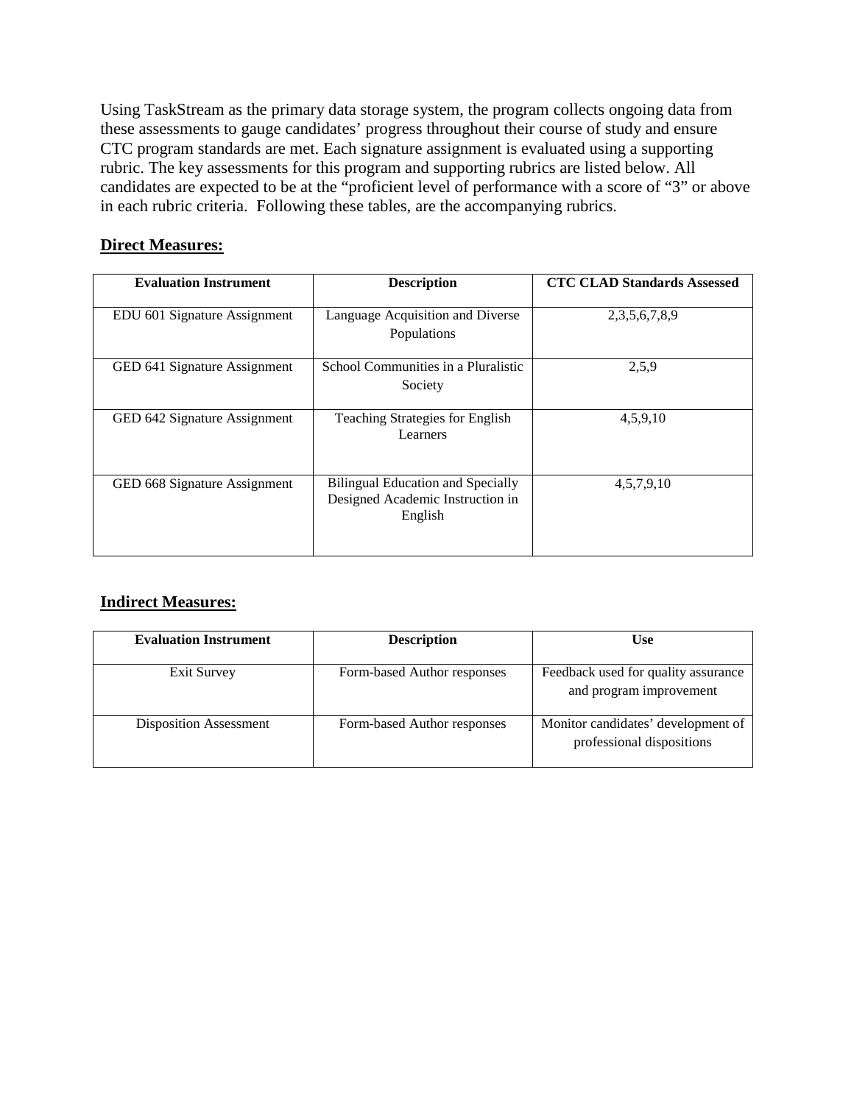Using TaskStream as the primary data storage system, the program collects ongoing data from these assessments to gauge candidates' progress throughout their course of study and ensure CTC program standards are met. Each signature assignment is evaluated using a supporting rubric. The key assessments for this program and supporting rubrics are listed below. All candidates are expected to be at the "proficient level of performance with a score of "3" or above in each rubric criteria. Following these tables, are the accompanying rubrics.

#### **Direct Measures:**

| <b>Evaluation Instrument</b> | <b>Description</b>                                                               | <b>CTC CLAD Standards Assessed</b> |
|------------------------------|----------------------------------------------------------------------------------|------------------------------------|
| EDU 601 Signature Assignment | Language Acquisition and Diverse<br>Populations                                  | 2, 3, 5, 6, 7, 8, 9                |
| GED 641 Signature Assignment | School Communities in a Pluralistic<br>Society                                   | 2,5,9                              |
| GED 642 Signature Assignment | <b>Teaching Strategies for English</b><br>Learners                               | 4,5,9,10                           |
| GED 668 Signature Assignment | Bilingual Education and Specially<br>Designed Academic Instruction in<br>English | 4,5,7,9,10                         |

#### **Indirect Measures:**

| <b>Evaluation Instrument</b>  | <b>Description</b>          | <b>Use</b>                                                      |
|-------------------------------|-----------------------------|-----------------------------------------------------------------|
| Exit Survey                   | Form-based Author responses | Feedback used for quality assurance<br>and program improvement  |
| <b>Disposition Assessment</b> | Form-based Author responses | Monitor candidates' development of<br>professional dispositions |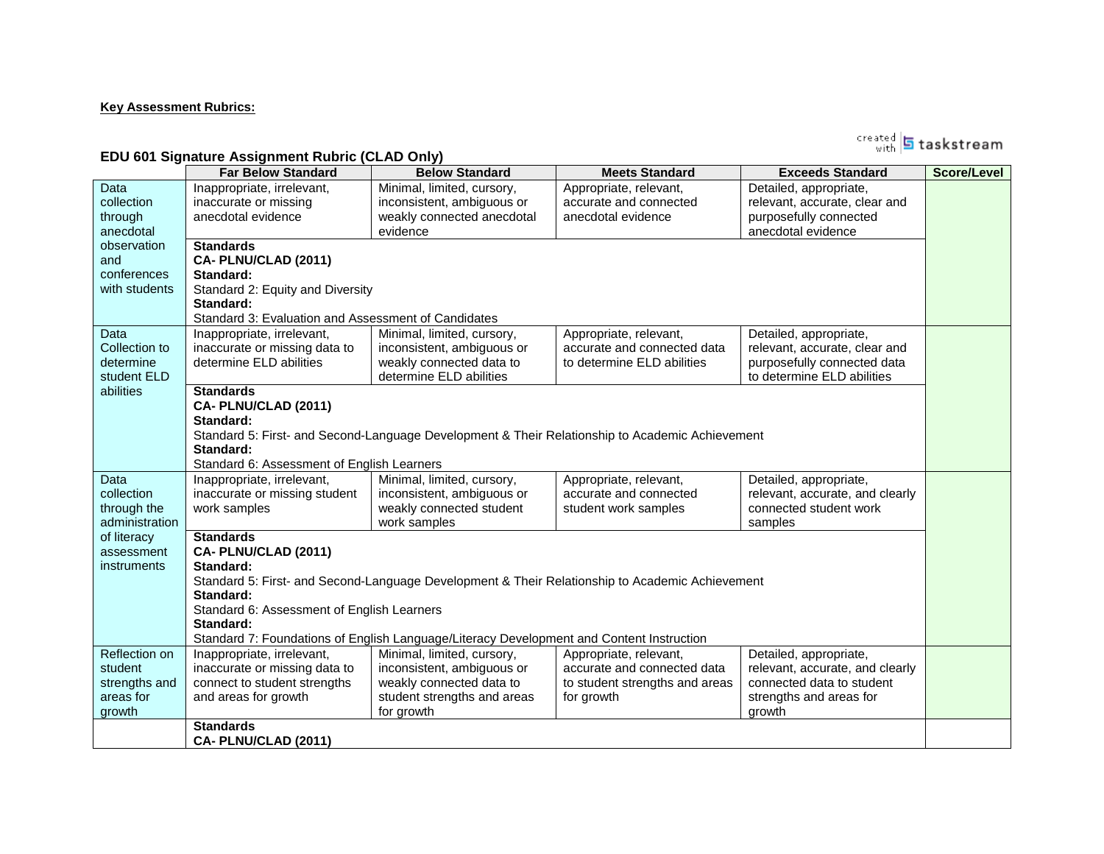#### **Key Assessment Rubrics:**

<sub>with</sub> **5** taskstream

#### **EDU 601 Signature Assignment Rubric (CLAD Only)**

|                | <b>Far Below Standard</b>                           | <b>Below Standard</b>                                                                    | <b>Meets Standard</b>                                                                           | <b>Exceeds Standard</b>         | <b>Score/Level</b> |  |  |  |
|----------------|-----------------------------------------------------|------------------------------------------------------------------------------------------|-------------------------------------------------------------------------------------------------|---------------------------------|--------------------|--|--|--|
| Data           | Inappropriate, irrelevant,                          | Minimal, limited, cursory,                                                               | Appropriate, relevant,                                                                          | Detailed, appropriate,          |                    |  |  |  |
| collection     | inaccurate or missing                               | inconsistent, ambiguous or                                                               | accurate and connected                                                                          | relevant, accurate, clear and   |                    |  |  |  |
| through        | anecdotal evidence                                  | weakly connected anecdotal                                                               | anecdotal evidence                                                                              | purposefully connected          |                    |  |  |  |
| anecdotal      |                                                     | evidence                                                                                 |                                                                                                 | anecdotal evidence              |                    |  |  |  |
| observation    | <b>Standards</b>                                    |                                                                                          |                                                                                                 |                                 |                    |  |  |  |
| and            | CA-PLNU/CLAD (2011)                                 |                                                                                          |                                                                                                 |                                 |                    |  |  |  |
| conferences    | Standard:                                           |                                                                                          |                                                                                                 |                                 |                    |  |  |  |
| with students  | Standard 2: Equity and Diversity                    |                                                                                          |                                                                                                 |                                 |                    |  |  |  |
|                | Standard:                                           |                                                                                          |                                                                                                 |                                 |                    |  |  |  |
|                | Standard 3: Evaluation and Assessment of Candidates |                                                                                          |                                                                                                 |                                 |                    |  |  |  |
| Data           | Inappropriate, irrelevant,                          | Minimal, limited, cursory,                                                               | Appropriate, relevant,                                                                          | Detailed, appropriate,          |                    |  |  |  |
| Collection to  | inaccurate or missing data to                       | inconsistent, ambiguous or                                                               | accurate and connected data                                                                     | relevant, accurate, clear and   |                    |  |  |  |
| determine      | determine ELD abilities                             | weakly connected data to                                                                 | to determine ELD abilities                                                                      | purposefully connected data     |                    |  |  |  |
| student ELD    |                                                     | determine ELD abilities                                                                  |                                                                                                 | to determine ELD abilities      |                    |  |  |  |
| abilities      | <b>Standards</b>                                    |                                                                                          |                                                                                                 |                                 |                    |  |  |  |
|                | CA-PLNU/CLAD (2011)                                 |                                                                                          |                                                                                                 |                                 |                    |  |  |  |
|                | Standard:                                           |                                                                                          |                                                                                                 |                                 |                    |  |  |  |
|                |                                                     |                                                                                          | Standard 5: First- and Second-Language Development & Their Relationship to Academic Achievement |                                 |                    |  |  |  |
|                | Standard:                                           |                                                                                          |                                                                                                 |                                 |                    |  |  |  |
|                | Standard 6: Assessment of English Learners          |                                                                                          |                                                                                                 |                                 |                    |  |  |  |
| Data           | Inappropriate, irrelevant,                          | Minimal, limited, cursory,                                                               | Appropriate, relevant,                                                                          | Detailed, appropriate,          |                    |  |  |  |
| collection     | inaccurate or missing student                       | inconsistent, ambiguous or                                                               | accurate and connected                                                                          | relevant, accurate, and clearly |                    |  |  |  |
| through the    | work samples                                        | weakly connected student                                                                 | student work samples                                                                            | connected student work          |                    |  |  |  |
| administration |                                                     | work samples                                                                             |                                                                                                 | samples                         |                    |  |  |  |
| of literacy    | <b>Standards</b>                                    |                                                                                          |                                                                                                 |                                 |                    |  |  |  |
| assessment     | CA-PLNU/CLAD (2011)                                 |                                                                                          |                                                                                                 |                                 |                    |  |  |  |
| instruments    | Standard:                                           |                                                                                          |                                                                                                 |                                 |                    |  |  |  |
|                |                                                     |                                                                                          | Standard 5: First- and Second-Language Development & Their Relationship to Academic Achievement |                                 |                    |  |  |  |
|                | Standard:                                           |                                                                                          |                                                                                                 |                                 |                    |  |  |  |
|                | Standard 6: Assessment of English Learners          |                                                                                          |                                                                                                 |                                 |                    |  |  |  |
|                | Standard:                                           |                                                                                          |                                                                                                 |                                 |                    |  |  |  |
|                |                                                     | Standard 7: Foundations of English Language/Literacy Development and Content Instruction |                                                                                                 |                                 |                    |  |  |  |
| Reflection on  | Inappropriate, irrelevant,                          | Minimal, limited, cursory,                                                               | Appropriate, relevant,                                                                          | Detailed, appropriate,          |                    |  |  |  |
| student        | inaccurate or missing data to                       | inconsistent, ambiguous or                                                               | accurate and connected data                                                                     | relevant, accurate, and clearly |                    |  |  |  |
| strengths and  | connect to student strengths                        | weakly connected data to                                                                 | to student strengths and areas                                                                  | connected data to student       |                    |  |  |  |
| areas for      | and areas for growth                                | student strengths and areas                                                              | for growth                                                                                      | strengths and areas for         |                    |  |  |  |
| growth         |                                                     | for growth                                                                               |                                                                                                 | growth                          |                    |  |  |  |
|                | <b>Standards</b>                                    |                                                                                          |                                                                                                 |                                 |                    |  |  |  |
|                | CA-PLNU/CLAD (2011)                                 |                                                                                          |                                                                                                 |                                 |                    |  |  |  |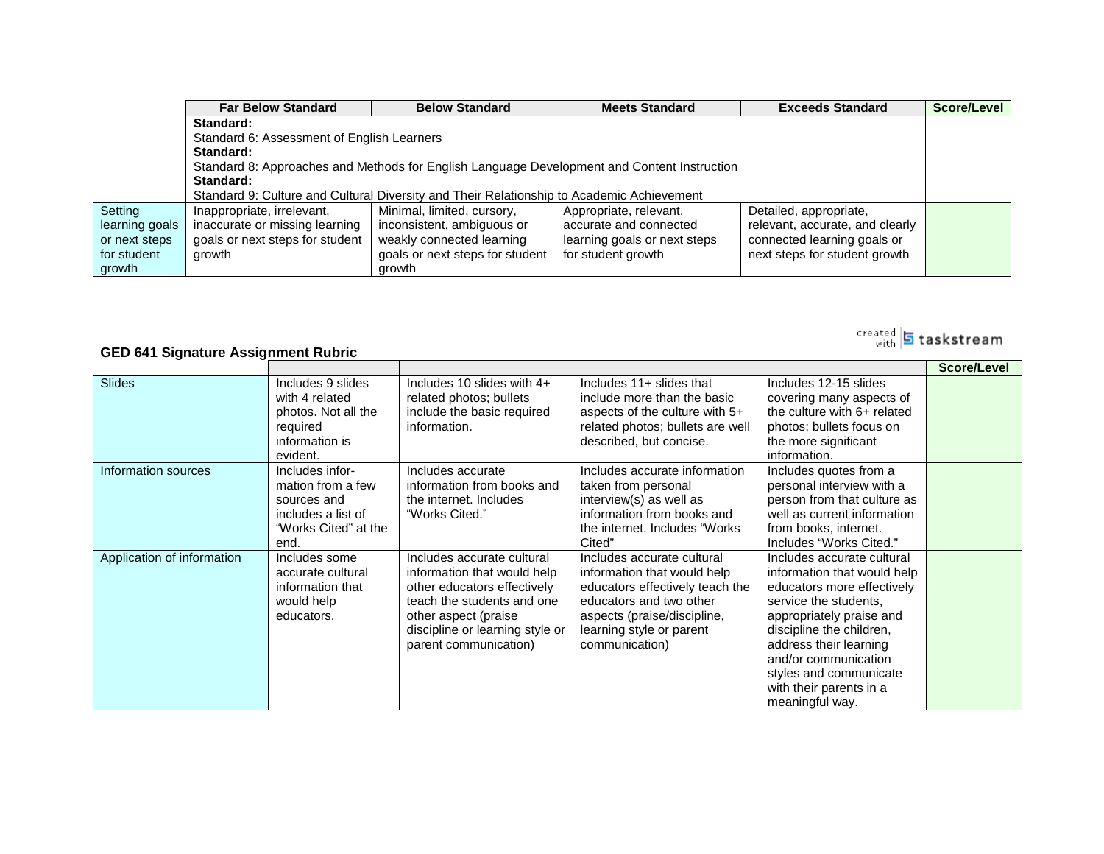|                | <b>Far Below Standard</b>                                                                   | <b>Below Standard</b>                                                                     | <b>Meets Standard</b>        | <b>Exceeds Standard</b>         | Score/Level |  |  |  |
|----------------|---------------------------------------------------------------------------------------------|-------------------------------------------------------------------------------------------|------------------------------|---------------------------------|-------------|--|--|--|
|                | Standard:                                                                                   |                                                                                           |                              |                                 |             |  |  |  |
|                | Standard 6: Assessment of English Learners                                                  |                                                                                           |                              |                                 |             |  |  |  |
|                | Standard:                                                                                   |                                                                                           |                              |                                 |             |  |  |  |
|                | Standard 8: Approaches and Methods for English Language Development and Content Instruction |                                                                                           |                              |                                 |             |  |  |  |
|                | Standard:                                                                                   |                                                                                           |                              |                                 |             |  |  |  |
|                |                                                                                             | Standard 9: Culture and Cultural Diversity and Their Relationship to Academic Achievement |                              |                                 |             |  |  |  |
| Setting        | Inappropriate, irrelevant,                                                                  | Minimal, limited, cursory,                                                                | Appropriate, relevant,       | Detailed, appropriate,          |             |  |  |  |
| learning goals | inaccurate or missing learning                                                              | inconsistent, ambiguous or                                                                | accurate and connected       | relevant, accurate, and clearly |             |  |  |  |
| or next steps  | goals or next steps for student                                                             | weakly connected learning                                                                 | learning goals or next steps | connected learning goals or     |             |  |  |  |
| for student    | growth                                                                                      | goals or next steps for student                                                           | for student growth           | next steps for student growth   |             |  |  |  |
| growth         |                                                                                             | growth                                                                                    |                              |                                 |             |  |  |  |

#### **GED 641 Signature Assignment Rubric**

|                            |                      |                                 |                                  |                             | Score/Level |
|----------------------------|----------------------|---------------------------------|----------------------------------|-----------------------------|-------------|
| <b>Slides</b>              | Includes 9 slides    | Includes 10 slides with $4+$    | Includes 11+ slides that         | Includes 12-15 slides       |             |
|                            | with 4 related       | related photos; bullets         | include more than the basic      | covering many aspects of    |             |
|                            | photos. Not all the  | include the basic required      | aspects of the culture with 5+   | the culture with 6+ related |             |
|                            | required             | information.                    | related photos; bullets are well | photos; bullets focus on    |             |
|                            | information is       |                                 | described, but concise.          | the more significant        |             |
|                            | evident.             |                                 |                                  | information.                |             |
| Information sources        | Includes infor-      | Includes accurate               | Includes accurate information    | Includes quotes from a      |             |
|                            | mation from a few    | information from books and      | taken from personal              | personal interview with a   |             |
|                            | sources and          | the internet. Includes          | interview(s) as well as          | person from that culture as |             |
|                            | includes a list of   | "Works Cited."                  | information from books and       | well as current information |             |
|                            | "Works Cited" at the |                                 | the internet. Includes "Works"   | from books, internet.       |             |
|                            | end.                 |                                 | Cited"                           | Includes "Works Cited."     |             |
| Application of information | Includes some        | Includes accurate cultural      | Includes accurate cultural       | Includes accurate cultural  |             |
|                            | accurate cultural    | information that would help     | information that would help      | information that would help |             |
|                            | information that     | other educators effectively     | educators effectively teach the  | educators more effectively  |             |
|                            | would help           | teach the students and one      | educators and two other          | service the students,       |             |
|                            | educators.           | other aspect (praise            | aspects (praise/discipline,      | appropriately praise and    |             |
|                            |                      | discipline or learning style or | learning style or parent         | discipline the children,    |             |
|                            |                      | parent communication)           | communication)                   | address their learning      |             |
|                            |                      |                                 |                                  | and/or communication        |             |
|                            |                      |                                 |                                  | styles and communicate      |             |
|                            |                      |                                 |                                  | with their parents in a     |             |
|                            |                      |                                 |                                  | meaningful way.             |             |

## <sup>created</sup> 5 taskstream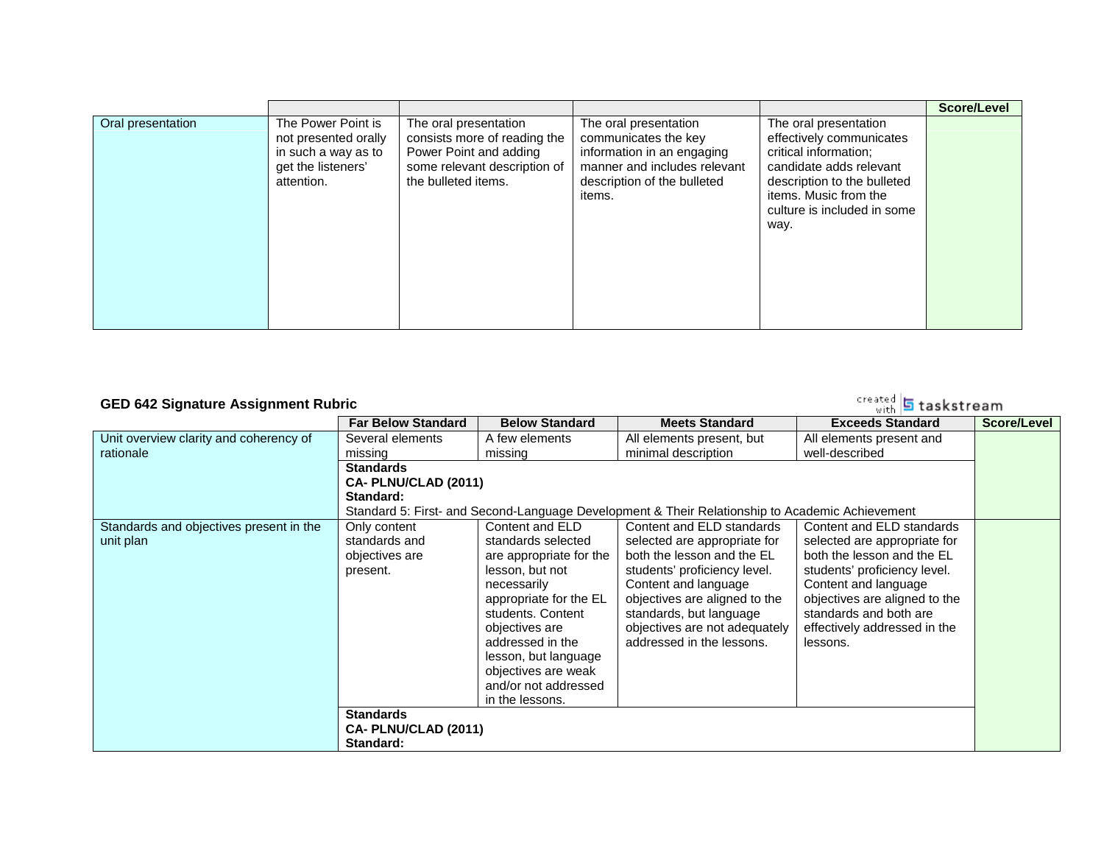|                   |                                                                                                       |                                                                                                                                        |                                                                                                                                                      |                                                                                                                                                                                                      | Score/Level |
|-------------------|-------------------------------------------------------------------------------------------------------|----------------------------------------------------------------------------------------------------------------------------------------|------------------------------------------------------------------------------------------------------------------------------------------------------|------------------------------------------------------------------------------------------------------------------------------------------------------------------------------------------------------|-------------|
| Oral presentation | The Power Point is<br>not presented orally<br>in such a way as to<br>get the listeners'<br>attention. | The oral presentation<br>consists more of reading the<br>Power Point and adding<br>some relevant description of<br>the bulleted items. | The oral presentation<br>communicates the key<br>information in an engaging<br>manner and includes relevant<br>description of the bulleted<br>items. | The oral presentation<br>effectively communicates<br>critical information:<br>candidate adds relevant<br>description to the bulleted<br>items. Music from the<br>culture is included in some<br>way. |             |

### **GED 642 Signature Assignment Rubric**

|                                                      | <b>Far Below Standard</b>                                                                              | <b>Below Standard</b>                                                                                                                                                                                                                                                             | <b>Meets Standard</b>                                                                                                                                                                                                                                                     | <b>Exceeds Standard</b>                                                                                                                                                                                                                                | Score/Level |
|------------------------------------------------------|--------------------------------------------------------------------------------------------------------|-----------------------------------------------------------------------------------------------------------------------------------------------------------------------------------------------------------------------------------------------------------------------------------|---------------------------------------------------------------------------------------------------------------------------------------------------------------------------------------------------------------------------------------------------------------------------|--------------------------------------------------------------------------------------------------------------------------------------------------------------------------------------------------------------------------------------------------------|-------------|
| Unit overview clarity and coherency of               | Several elements                                                                                       | A few elements                                                                                                                                                                                                                                                                    | All elements present, but                                                                                                                                                                                                                                                 | All elements present and                                                                                                                                                                                                                               |             |
| rationale                                            | missing                                                                                                | missing                                                                                                                                                                                                                                                                           | minimal description                                                                                                                                                                                                                                                       | well-described                                                                                                                                                                                                                                         |             |
|                                                      | <b>Standards</b>                                                                                       |                                                                                                                                                                                                                                                                                   |                                                                                                                                                                                                                                                                           |                                                                                                                                                                                                                                                        |             |
|                                                      | CA- PLNU/CLAD (2011)                                                                                   |                                                                                                                                                                                                                                                                                   |                                                                                                                                                                                                                                                                           |                                                                                                                                                                                                                                                        |             |
|                                                      | Standard:                                                                                              |                                                                                                                                                                                                                                                                                   |                                                                                                                                                                                                                                                                           |                                                                                                                                                                                                                                                        |             |
|                                                      |                                                                                                        |                                                                                                                                                                                                                                                                                   | Standard 5: First- and Second-Language Development & Their Relationship to Academic Achievement                                                                                                                                                                           |                                                                                                                                                                                                                                                        |             |
| Standards and objectives present in the<br>unit plan | Only content<br>standards and<br>objectives are<br>present.<br><b>Standards</b><br>CA-PLNU/CLAD (2011) | Content and ELD<br>standards selected<br>are appropriate for the<br>lesson, but not<br>necessarily<br>appropriate for the EL<br>students, Content<br>objectives are<br>addressed in the<br>lesson, but language<br>objectives are weak<br>and/or not addressed<br>in the lessons. | Content and ELD standards<br>selected are appropriate for<br>both the lesson and the EL<br>students' proficiency level.<br>Content and language<br>objectives are aligned to the<br>standards, but language<br>objectives are not adequately<br>addressed in the lessons. | Content and ELD standards<br>selected are appropriate for<br>both the lesson and the EL<br>students' proficiency level.<br>Content and language<br>objectives are aligned to the<br>standards and both are<br>effectively addressed in the<br>lessons. |             |
|                                                      | Standard:                                                                                              |                                                                                                                                                                                                                                                                                   |                                                                                                                                                                                                                                                                           |                                                                                                                                                                                                                                                        |             |
|                                                      |                                                                                                        |                                                                                                                                                                                                                                                                                   |                                                                                                                                                                                                                                                                           |                                                                                                                                                                                                                                                        |             |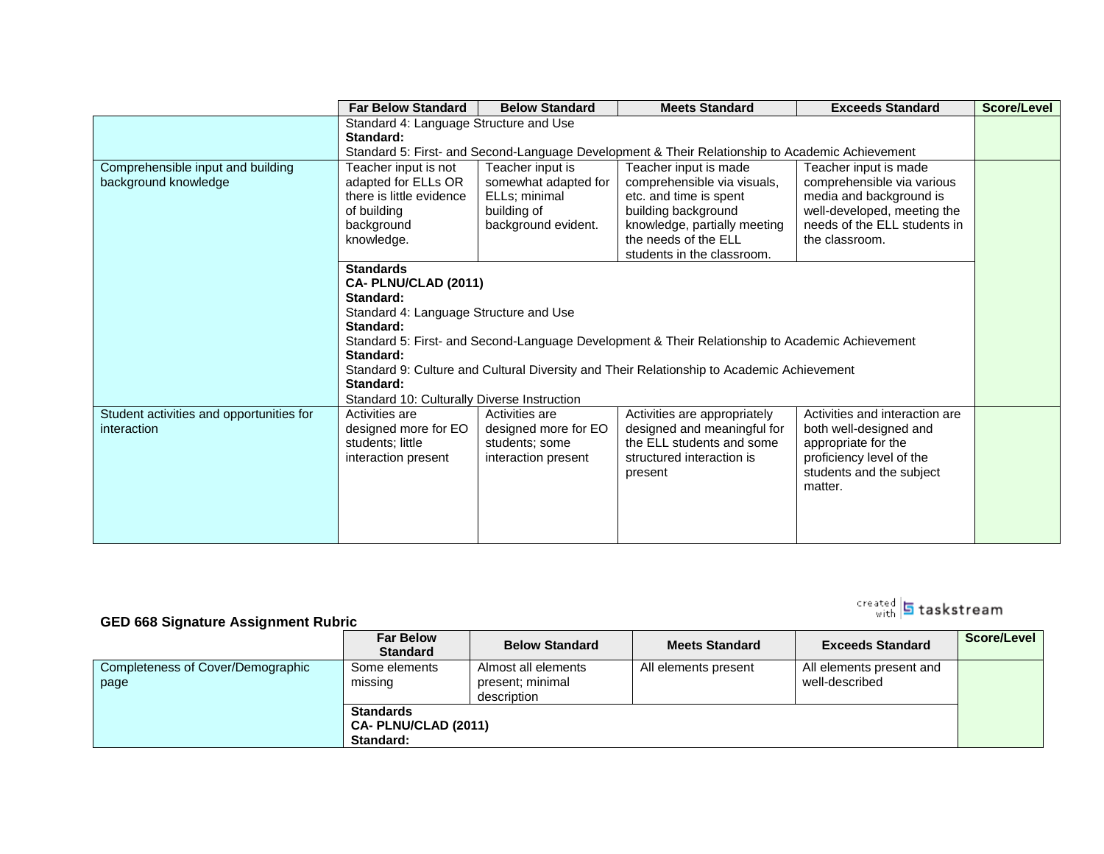|                                          | <b>Far Below Standard</b>                   | <b>Below Standard</b>                                                                           | <b>Meets Standard</b>                                                                           | <b>Exceeds Standard</b>        | Score/Level |  |  |
|------------------------------------------|---------------------------------------------|-------------------------------------------------------------------------------------------------|-------------------------------------------------------------------------------------------------|--------------------------------|-------------|--|--|
|                                          |                                             | Standard 4: Language Structure and Use                                                          |                                                                                                 |                                |             |  |  |
|                                          | Standard:                                   |                                                                                                 |                                                                                                 |                                |             |  |  |
|                                          |                                             | Standard 5: First- and Second-Language Development & Their Relationship to Academic Achievement |                                                                                                 |                                |             |  |  |
| Comprehensible input and building        | Teacher input is not                        | Teacher input is                                                                                | Teacher input is made                                                                           | Teacher input is made          |             |  |  |
| background knowledge                     | adapted for ELLs OR                         | somewhat adapted for                                                                            | comprehensible via visuals,                                                                     | comprehensible via various     |             |  |  |
|                                          | there is little evidence                    | ELLs; minimal                                                                                   | etc. and time is spent                                                                          | media and background is        |             |  |  |
|                                          | of building                                 | building of                                                                                     | building background                                                                             | well-developed, meeting the    |             |  |  |
|                                          | background                                  | background evident.                                                                             | knowledge, partially meeting                                                                    | needs of the ELL students in   |             |  |  |
|                                          | knowledge.                                  |                                                                                                 | the needs of the ELL                                                                            | the classroom.                 |             |  |  |
|                                          |                                             |                                                                                                 | students in the classroom.                                                                      |                                |             |  |  |
|                                          | <b>Standards</b>                            |                                                                                                 |                                                                                                 |                                |             |  |  |
|                                          | CA- PLNU/CLAD (2011)                        |                                                                                                 |                                                                                                 |                                |             |  |  |
|                                          | Standard:                                   |                                                                                                 |                                                                                                 |                                |             |  |  |
|                                          | Standard 4: Language Structure and Use      |                                                                                                 |                                                                                                 |                                |             |  |  |
|                                          | Standard:                                   |                                                                                                 |                                                                                                 |                                |             |  |  |
|                                          | Standard:                                   |                                                                                                 | Standard 5: First- and Second-Language Development & Their Relationship to Academic Achievement |                                |             |  |  |
|                                          |                                             |                                                                                                 | Standard 9: Culture and Cultural Diversity and Their Relationship to Academic Achievement       |                                |             |  |  |
|                                          | Standard:                                   |                                                                                                 |                                                                                                 |                                |             |  |  |
|                                          | Standard 10: Culturally Diverse Instruction |                                                                                                 |                                                                                                 |                                |             |  |  |
| Student activities and opportunities for | Activities are                              | Activities are                                                                                  | Activities are appropriately                                                                    | Activities and interaction are |             |  |  |
| interaction                              | designed more for EO                        | designed more for EO                                                                            | designed and meaningful for                                                                     | both well-designed and         |             |  |  |
|                                          | students; little                            | students; some                                                                                  | the ELL students and some                                                                       | appropriate for the            |             |  |  |
|                                          | interaction present                         | interaction present                                                                             | structured interaction is                                                                       | proficiency level of the       |             |  |  |
|                                          |                                             |                                                                                                 | present                                                                                         | students and the subject       |             |  |  |
|                                          |                                             |                                                                                                 |                                                                                                 | matter.                        |             |  |  |
|                                          |                                             |                                                                                                 |                                                                                                 |                                |             |  |  |
|                                          |                                             |                                                                                                 |                                                                                                 |                                |             |  |  |
|                                          |                                             |                                                                                                 |                                                                                                 |                                |             |  |  |
|                                          |                                             |                                                                                                 |                                                                                                 |                                |             |  |  |

#### **GED 668 Signature Assignment Rubric**

|                                   | <b>Far Below</b><br><b>Standard</b> | <b>Below Standard</b> | <b>Meets Standard</b> | <b>Exceeds Standard</b>  | Score/Level |
|-----------------------------------|-------------------------------------|-----------------------|-----------------------|--------------------------|-------------|
| Completeness of Cover/Demographic | Some elements                       | Almost all elements   | All elements present  | All elements present and |             |
| page                              | missing                             | present; minimal      |                       | well-described           |             |
|                                   |                                     | description           |                       |                          |             |
|                                   | <b>Standards</b>                    |                       |                       |                          |             |
|                                   | CA- PLNU/CLAD (2011)                |                       |                       |                          |             |
|                                   | Standard:                           |                       |                       |                          |             |

# rreated **5** taskstream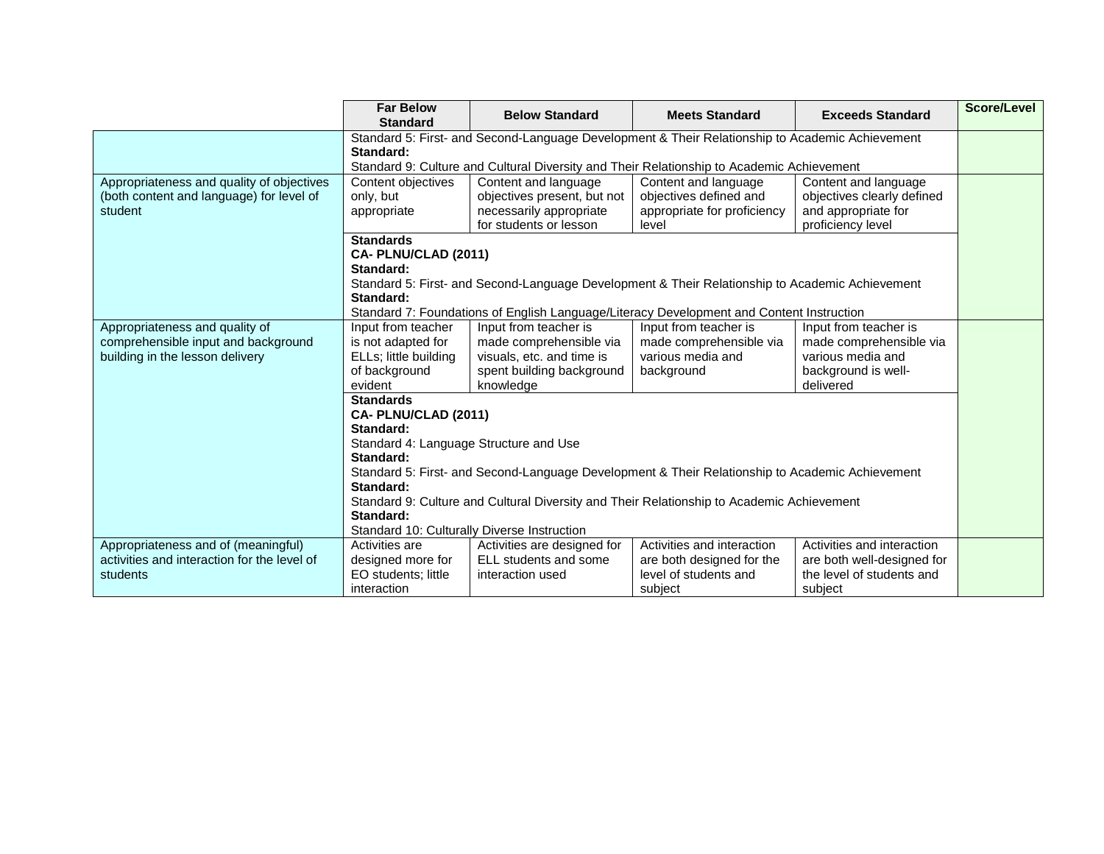|                                                                                                          | <b>Far Below</b><br><b>Standard</b>                                                                                                                                                                                                                              | <b>Below Standard</b>                                                                                                                                                                                                                                                                                                   | <b>Meets Standard</b>                                                                       | <b>Exceeds Standard</b>                                                                                   | <b>Score/Level</b> |  |  |
|----------------------------------------------------------------------------------------------------------|------------------------------------------------------------------------------------------------------------------------------------------------------------------------------------------------------------------------------------------------------------------|-------------------------------------------------------------------------------------------------------------------------------------------------------------------------------------------------------------------------------------------------------------------------------------------------------------------------|---------------------------------------------------------------------------------------------|-----------------------------------------------------------------------------------------------------------|--------------------|--|--|
|                                                                                                          | Standard:                                                                                                                                                                                                                                                        | Standard 5: First- and Second-Language Development & Their Relationship to Academic Achievement<br>Standard 9: Culture and Cultural Diversity and Their Relationship to Academic Achievement                                                                                                                            |                                                                                             |                                                                                                           |                    |  |  |
| Appropriateness and quality of objectives<br>(both content and language) for level of<br>student         | Content objectives<br>only, but<br>appropriate                                                                                                                                                                                                                   | Content and language<br>objectives present, but not<br>necessarily appropriate<br>for students or lesson                                                                                                                                                                                                                | Content and language<br>objectives defined and<br>appropriate for proficiency<br>level      | Content and language<br>objectives clearly defined<br>and appropriate for<br>proficiency level            |                    |  |  |
|                                                                                                          | <b>Standards</b><br>CA-PLNU/CLAD (2011)<br>Standard:<br>Standard 5: First- and Second-Language Development & Their Relationship to Academic Achievement<br>Standard:<br>Standard 7: Foundations of English Language/Literacy Development and Content Instruction |                                                                                                                                                                                                                                                                                                                         |                                                                                             |                                                                                                           |                    |  |  |
| Appropriateness and quality of<br>comprehensible input and background<br>building in the lesson delivery | Input from teacher<br>is not adapted for<br>ELLs; little building<br>of background<br>evident<br><b>Standards</b><br>CA-PLNU/CLAD (2011)<br>Standard:<br>Standard 4: Language Structure and Use<br>Standard:<br>Standard:<br>Standard:                           | Input from teacher is<br>made comprehensible via<br>visuals, etc. and time is<br>spent building background<br>knowledge<br>Standard 5: First- and Second-Language Development & Their Relationship to Academic Achievement<br>Standard 9: Culture and Cultural Diversity and Their Relationship to Academic Achievement | Input from teacher is<br>made comprehensible via<br>various media and<br>background         | Input from teacher is<br>made comprehensible via<br>various media and<br>background is well-<br>delivered |                    |  |  |
|                                                                                                          | Standard 10: Culturally Diverse Instruction                                                                                                                                                                                                                      |                                                                                                                                                                                                                                                                                                                         |                                                                                             |                                                                                                           |                    |  |  |
| Appropriateness and of (meaningful)<br>activities and interaction for the level of<br>students           | Activities are<br>designed more for<br>EO students; little<br>interaction                                                                                                                                                                                        | Activities are designed for<br>ELL students and some<br>interaction used                                                                                                                                                                                                                                                | Activities and interaction<br>are both designed for the<br>level of students and<br>subject | Activities and interaction<br>are both well-designed for<br>the level of students and<br>subject          |                    |  |  |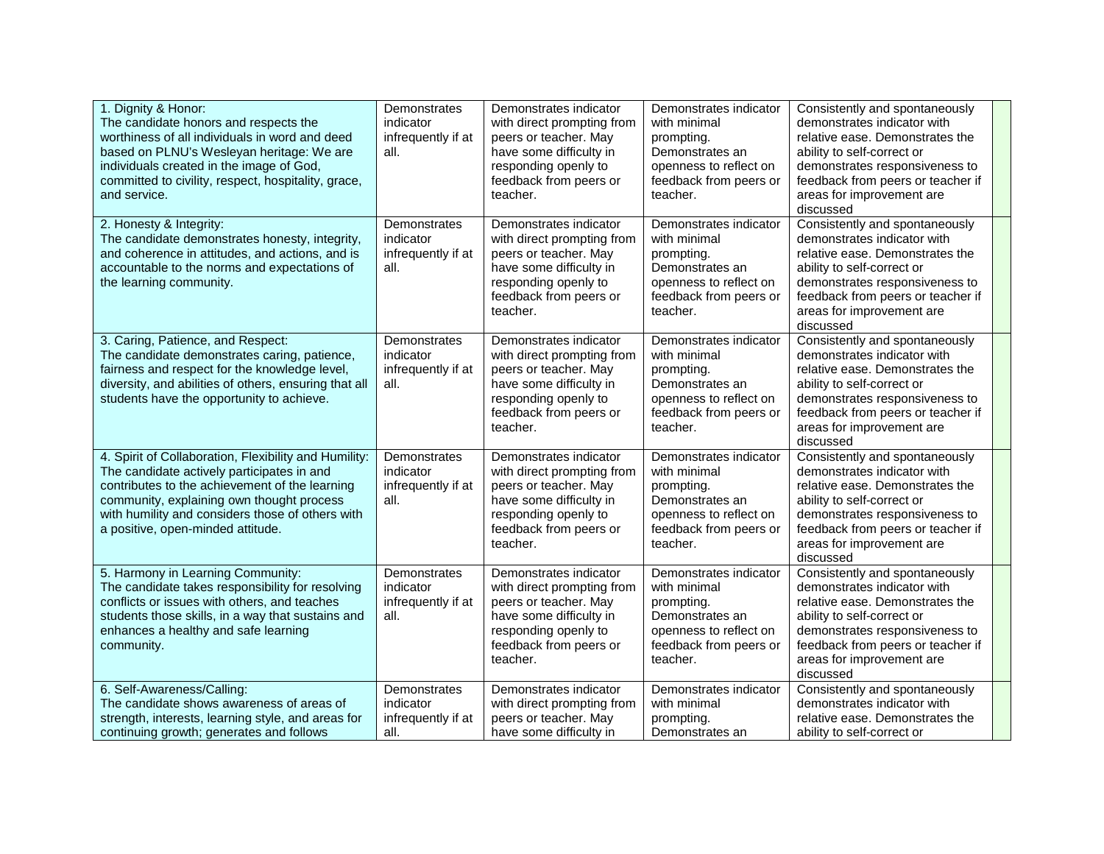| 1. Dignity & Honor:<br>The candidate honors and respects the<br>worthiness of all individuals in word and deed<br>based on PLNU's Wesleyan heritage: We are<br>individuals created in the image of God,<br>committed to civility, respect, hospitality, grace,<br>and service.              | Demonstrates<br>indicator<br>infrequently if at<br>all. | Demonstrates indicator<br>with direct prompting from<br>peers or teacher. May<br>have some difficulty in<br>responding openly to<br>feedback from peers or<br>teacher. | Demonstrates indicator<br>with minimal<br>prompting.<br>Demonstrates an<br>openness to reflect on<br>feedback from peers or<br>teacher. | Consistently and spontaneously<br>demonstrates indicator with<br>relative ease. Demonstrates the<br>ability to self-correct or<br>demonstrates responsiveness to<br>feedback from peers or teacher if<br>areas for improvement are<br>discussed |  |
|---------------------------------------------------------------------------------------------------------------------------------------------------------------------------------------------------------------------------------------------------------------------------------------------|---------------------------------------------------------|------------------------------------------------------------------------------------------------------------------------------------------------------------------------|-----------------------------------------------------------------------------------------------------------------------------------------|-------------------------------------------------------------------------------------------------------------------------------------------------------------------------------------------------------------------------------------------------|--|
| 2. Honesty & Integrity:<br>The candidate demonstrates honesty, integrity,<br>and coherence in attitudes, and actions, and is<br>accountable to the norms and expectations of<br>the learning community.                                                                                     | Demonstrates<br>indicator<br>infrequently if at<br>all. | Demonstrates indicator<br>with direct prompting from<br>peers or teacher. May<br>have some difficulty in<br>responding openly to<br>feedback from peers or<br>teacher. | Demonstrates indicator<br>with minimal<br>prompting.<br>Demonstrates an<br>openness to reflect on<br>feedback from peers or<br>teacher. | Consistently and spontaneously<br>demonstrates indicator with<br>relative ease. Demonstrates the<br>ability to self-correct or<br>demonstrates responsiveness to<br>feedback from peers or teacher if<br>areas for improvement are<br>discussed |  |
| 3. Caring, Patience, and Respect:<br>The candidate demonstrates caring, patience,<br>fairness and respect for the knowledge level,<br>diversity, and abilities of others, ensuring that all<br>students have the opportunity to achieve.                                                    | Demonstrates<br>indicator<br>infrequently if at<br>all. | Demonstrates indicator<br>with direct prompting from<br>peers or teacher. May<br>have some difficulty in<br>responding openly to<br>feedback from peers or<br>teacher. | Demonstrates indicator<br>with minimal<br>prompting.<br>Demonstrates an<br>openness to reflect on<br>feedback from peers or<br>teacher. | Consistently and spontaneously<br>demonstrates indicator with<br>relative ease. Demonstrates the<br>ability to self-correct or<br>demonstrates responsiveness to<br>feedback from peers or teacher if<br>areas for improvement are<br>discussed |  |
| 4. Spirit of Collaboration, Flexibility and Humility:<br>The candidate actively participates in and<br>contributes to the achievement of the learning<br>community, explaining own thought process<br>with humility and considers those of others with<br>a positive, open-minded attitude. | Demonstrates<br>indicator<br>infrequently if at<br>all. | Demonstrates indicator<br>with direct prompting from<br>peers or teacher. May<br>have some difficulty in<br>responding openly to<br>feedback from peers or<br>teacher. | Demonstrates indicator<br>with minimal<br>prompting.<br>Demonstrates an<br>openness to reflect on<br>feedback from peers or<br>teacher. | Consistently and spontaneously<br>demonstrates indicator with<br>relative ease. Demonstrates the<br>ability to self-correct or<br>demonstrates responsiveness to<br>feedback from peers or teacher if<br>areas for improvement are<br>discussed |  |
| 5. Harmony in Learning Community:<br>The candidate takes responsibility for resolving<br>conflicts or issues with others, and teaches<br>students those skills, in a way that sustains and<br>enhances a healthy and safe learning<br>community.                                            | Demonstrates<br>indicator<br>infrequently if at<br>all. | Demonstrates indicator<br>with direct prompting from<br>peers or teacher. May<br>have some difficulty in<br>responding openly to<br>feedback from peers or<br>teacher. | Demonstrates indicator<br>with minimal<br>prompting.<br>Demonstrates an<br>openness to reflect on<br>feedback from peers or<br>teacher. | Consistently and spontaneously<br>demonstrates indicator with<br>relative ease. Demonstrates the<br>ability to self-correct or<br>demonstrates responsiveness to<br>feedback from peers or teacher if<br>areas for improvement are<br>discussed |  |
| 6. Self-Awareness/Calling:<br>The candidate shows awareness of areas of<br>strength, interests, learning style, and areas for<br>continuing growth; generates and follows                                                                                                                   | Demonstrates<br>indicator<br>infrequently if at<br>all. | Demonstrates indicator<br>with direct prompting from<br>peers or teacher. May<br>have some difficulty in                                                               | Demonstrates indicator<br>with minimal<br>prompting.<br>Demonstrates an                                                                 | Consistently and spontaneously<br>demonstrates indicator with<br>relative ease. Demonstrates the<br>ability to self-correct or                                                                                                                  |  |